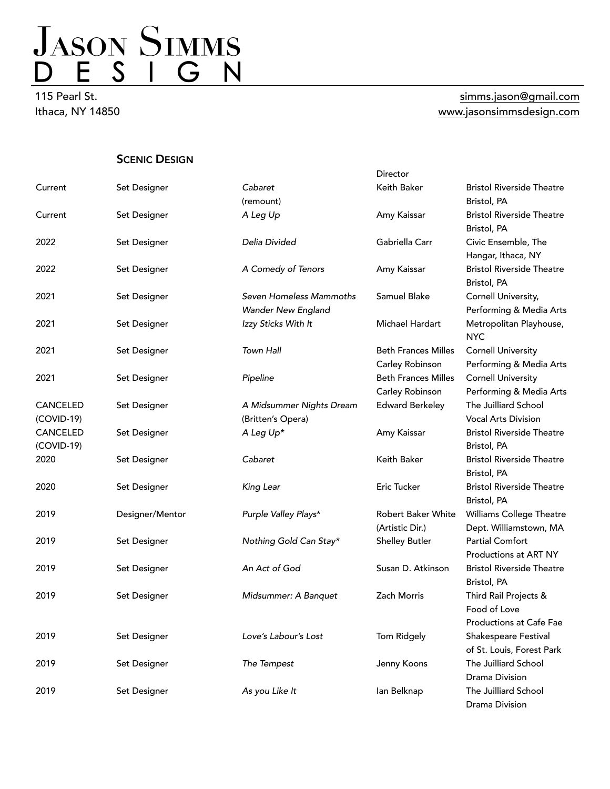115 Pearl St. Ithaca, NY 14850

#### [simms.jason@gmail.com](mailto:simms.jason@gmail.com) [www.jasonsimmsdesign.com](http://www.jasonsimmsdesign.com)

**SCENIC DESIGN** 

|                 |                 |                                                      | Director                   |                                                 |
|-----------------|-----------------|------------------------------------------------------|----------------------------|-------------------------------------------------|
| Current         | Set Designer    | Cabaret                                              | Keith Baker                | <b>Bristol Riverside Theatre</b>                |
|                 |                 | (remount)                                            |                            | Bristol, PA                                     |
| Current         | Set Designer    | A Leg Up                                             | Amy Kaissar                | <b>Bristol Riverside Theatre</b><br>Bristol, PA |
| 2022            | Set Designer    | Delia Divided                                        | Gabriella Carr             | Civic Ensemble, The<br>Hangar, Ithaca, NY       |
| 2022            | Set Designer    | A Comedy of Tenors                                   | Amy Kaissar                | <b>Bristol Riverside Theatre</b><br>Bristol, PA |
| 2021            | Set Designer    | Seven Homeless Mammoths<br><b>Wander New England</b> | Samuel Blake               | Cornell University,<br>Performing & Media Arts  |
| 2021            | Set Designer    | Izzy Sticks With It                                  | Michael Hardart            | Metropolitan Playhouse,<br><b>NYC</b>           |
| 2021            | Set Designer    | Town Hall                                            | <b>Beth Frances Milles</b> | <b>Cornell University</b>                       |
|                 |                 |                                                      | Carley Robinson            | Performing & Media Arts                         |
| 2021            | Set Designer    | Pipeline                                             | <b>Beth Frances Milles</b> | <b>Cornell University</b>                       |
|                 |                 |                                                      | Carley Robinson            | Performing & Media Arts                         |
| <b>CANCELED</b> | Set Designer    | A Midsummer Nights Dream                             | <b>Edward Berkeley</b>     | The Juilliard School                            |
| (COVID-19)      |                 | (Britten's Opera)                                    |                            | <b>Vocal Arts Division</b>                      |
| CANCELED        | Set Designer    | A Leg Up*                                            | Amy Kaissar                | <b>Bristol Riverside Theatre</b>                |
| $(COVID-19)$    |                 |                                                      |                            | Bristol, PA                                     |
| 2020            | Set Designer    | Cabaret                                              | Keith Baker                | <b>Bristol Riverside Theatre</b>                |
|                 |                 |                                                      |                            | Bristol, PA                                     |
| 2020            | Set Designer    | King Lear                                            | Eric Tucker                | <b>Bristol Riverside Theatre</b><br>Bristol, PA |
| 2019            | Designer/Mentor | Purple Valley Plays*                                 | Robert Baker White         | Williams College Theatre                        |
|                 |                 |                                                      | (Artistic Dir.)            | Dept. Williamstown, MA                          |
| 2019            | Set Designer    | Nothing Gold Can Stay*                               | <b>Shelley Butler</b>      | <b>Partial Comfort</b><br>Productions at ART NY |
| 2019            | Set Designer    | An Act of God                                        | Susan D. Atkinson          | <b>Bristol Riverside Theatre</b><br>Bristol, PA |
| 2019            | Set Designer    | Midsummer: A Banquet                                 | Zach Morris                | Third Rail Projects &<br>Food of Love           |
|                 |                 |                                                      |                            | Productions at Cafe Fae                         |
| 2019            | Set Designer    | Love's Labour's Lost                                 | Tom Ridgely                | Shakespeare Festival                            |
|                 |                 |                                                      |                            | of St. Louis, Forest Park                       |
| 2019            | Set Designer    | The Tempest                                          | Jenny Koons                | The Juilliard School                            |
|                 |                 |                                                      |                            | Drama Division                                  |
| 2019            | Set Designer    | As you Like It                                       | lan Belknap                | The Juilliard School                            |
|                 |                 |                                                      |                            | Drama Division                                  |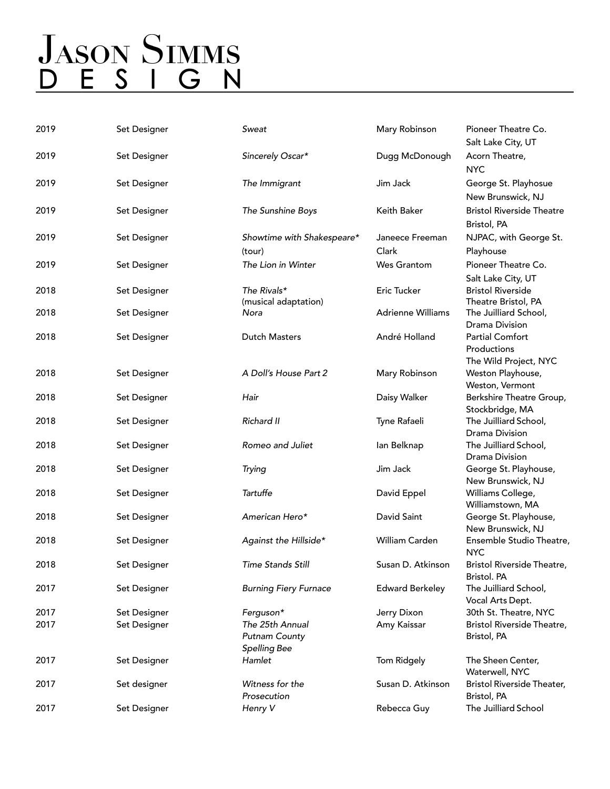# JASON SIMMS<br>D E S I G N

| 2019 | Set Designer | Sweat                                                          | Mary Robinson            | Pioneer Theatre Co.<br>Salt Lake City, UT                      |
|------|--------------|----------------------------------------------------------------|--------------------------|----------------------------------------------------------------|
| 2019 | Set Designer | Sincerely Oscar*                                               | Dugg McDonough           | Acorn Theatre,<br><b>NYC</b>                                   |
| 2019 | Set Designer | The Immigrant                                                  | Jim Jack                 | George St. Playhosue<br>New Brunswick, NJ                      |
| 2019 | Set Designer | The Sunshine Boys                                              | Keith Baker              | <b>Bristol Riverside Theatre</b><br>Bristol, PA                |
| 2019 | Set Designer | Showtime with Shakespeare*                                     | Janeece Freeman          | NJPAC, with George St.                                         |
|      |              | (tour)                                                         | Clark                    | Playhouse                                                      |
| 2019 | Set Designer | The Lion in Winter                                             | <b>Wes Grantom</b>       | Pioneer Theatre Co.<br>Salt Lake City, UT                      |
| 2018 | Set Designer | The Rivals*<br>(musical adaptation)                            | Eric Tucker              | <b>Bristol Riverside</b><br>Theatre Bristol, PA                |
| 2018 | Set Designer | Nora                                                           | <b>Adrienne Williams</b> | The Juilliard School,<br>Drama Division                        |
| 2018 | Set Designer | <b>Dutch Masters</b>                                           | André Holland            | <b>Partial Comfort</b><br>Productions<br>The Wild Project, NYC |
| 2018 | Set Designer | A Doll's House Part 2                                          | Mary Robinson            | Weston Playhouse,<br>Weston, Vermont                           |
| 2018 | Set Designer | Hair                                                           | Daisy Walker             | Berkshire Theatre Group,<br>Stockbridge, MA                    |
| 2018 | Set Designer | Richard II                                                     | Tyne Rafaeli             | The Juilliard School,<br>Drama Division                        |
| 2018 | Set Designer | Romeo and Juliet                                               | lan Belknap              | The Juilliard School,<br>Drama Division                        |
| 2018 | Set Designer | Trying                                                         | Jim Jack                 | George St. Playhouse,<br>New Brunswick, NJ                     |
| 2018 | Set Designer | Tartuffe                                                       | David Eppel              | Williams College,<br>Williamstown, MA                          |
| 2018 | Set Designer | American Hero*                                                 | David Saint              | George St. Playhouse,<br>New Brunswick, NJ                     |
| 2018 | Set Designer | Against the Hillside*                                          | William Carden           | Ensemble Studio Theatre,<br><b>NYC</b>                         |
| 2018 | Set Designer | Time Stands Still                                              | Susan D. Atkinson        | <b>Bristol Riverside Theatre,</b><br>Bristol. PA               |
| 2017 | Set Designer | <b>Burning Fiery Furnace</b>                                   | <b>Edward Berkeley</b>   | The Juilliard School,<br>Vocal Arts Dept.                      |
| 2017 | Set Designer | Ferguson*                                                      | Jerry Dixon              | 30th St. Theatre, NYC                                          |
| 2017 | Set Designer | The 25th Annual<br><b>Putnam County</b><br><b>Spelling Bee</b> | Amy Kaissar              | Bristol Riverside Theatre,<br>Bristol, PA                      |
| 2017 | Set Designer | Hamlet                                                         | Tom Ridgely              | The Sheen Center,<br>Waterwell, NYC                            |
| 2017 | Set designer | Witness for the<br>Prosecution                                 | Susan D. Atkinson        | <b>Bristol Riverside Theater,</b><br>Bristol, PA               |
| 2017 | Set Designer | Henry V                                                        | Rebecca Guy              | The Juilliard School                                           |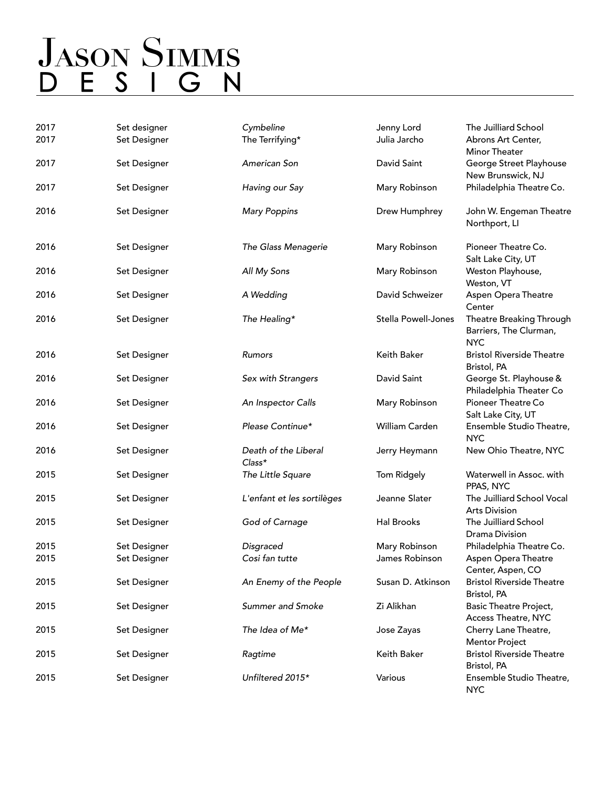| 2017<br>2017 | Set designer<br>Set Designer | Cymbeline<br>The Terrifying*     | Jenny Lord<br>Julia Jarcho | The Juilliard School<br>Abrons Art Center,<br>Minor Theater      |
|--------------|------------------------------|----------------------------------|----------------------------|------------------------------------------------------------------|
| 2017         | Set Designer                 | American Son                     | David Saint                | George Street Playhouse<br>New Brunswick, NJ                     |
| 2017         | Set Designer                 | Having our Say                   | Mary Robinson              | Philadelphia Theatre Co.                                         |
| 2016         | Set Designer                 | <b>Mary Poppins</b>              | Drew Humphrey              | John W. Engeman Theatre<br>Northport, LI                         |
| 2016         | Set Designer                 | The Glass Menagerie              | Mary Robinson              | Pioneer Theatre Co.<br>Salt Lake City, UT                        |
| 2016         | Set Designer                 | All My Sons                      | Mary Robinson              | Weston Playhouse,<br>Weston, VT                                  |
| 2016         | Set Designer                 | A Wedding                        | David Schweizer            | Aspen Opera Theatre<br>Center                                    |
| 2016         | Set Designer                 | The Healing*                     | <b>Stella Powell-Jones</b> | Theatre Breaking Through<br>Barriers, The Clurman,<br><b>NYC</b> |
| 2016         | Set Designer                 | Rumors                           | Keith Baker                | <b>Bristol Riverside Theatre</b><br>Bristol, PA                  |
| 2016         | Set Designer                 | Sex with Strangers               | David Saint                | George St. Playhouse &<br>Philadelphia Theater Co                |
| 2016         | Set Designer                 | An Inspector Calls               | Mary Robinson              | Pioneer Theatre Co<br>Salt Lake City, UT                         |
| 2016         | Set Designer                 | Please Continue*                 | William Carden             | Ensemble Studio Theatre,<br><b>NYC</b>                           |
| 2016         | Set Designer                 | Death of the Liberal<br>$Class*$ | Jerry Heymann              | New Ohio Theatre, NYC                                            |
| 2015         | Set Designer                 | The Little Square                | Tom Ridgely                | Waterwell in Assoc. with<br>PPAS, NYC                            |
| 2015         | Set Designer                 | L'enfant et les sortilèges       | Jeanne Slater              | The Juilliard School Vocal<br><b>Arts Division</b>               |
| 2015         | Set Designer                 | God of Carnage                   | Hal Brooks                 | The Juilliard School<br>Drama Division                           |
| 2015         | Set Designer                 | Disgraced                        | Mary Robinson              | Philadelphia Theatre Co.                                         |
| 2015         | Set Designer                 | Cosi fan tutte                   | James Robinson             | Aspen Opera Theatre<br>Center, Aspen, CO                         |
| 2015         | Set Designer                 | An Enemy of the People           | Susan D. Atkinson          | <b>Bristol Riverside Theatre</b><br>Bristol, PA                  |
| 2015         | Set Designer                 | <b>Summer and Smoke</b>          | Zi Alikhan                 | <b>Basic Theatre Project,</b><br>Access Theatre, NYC             |
| 2015         | Set Designer                 | The Idea of Me*                  | Jose Zayas                 | Cherry Lane Theatre,<br><b>Mentor Project</b>                    |
| 2015         | Set Designer                 | Ragtime                          | Keith Baker                | <b>Bristol Riverside Theatre</b><br>Bristol, PA                  |
| 2015         | Set Designer                 | Unfiltered 2015*                 | Various                    | Ensemble Studio Theatre,<br><b>NYC</b>                           |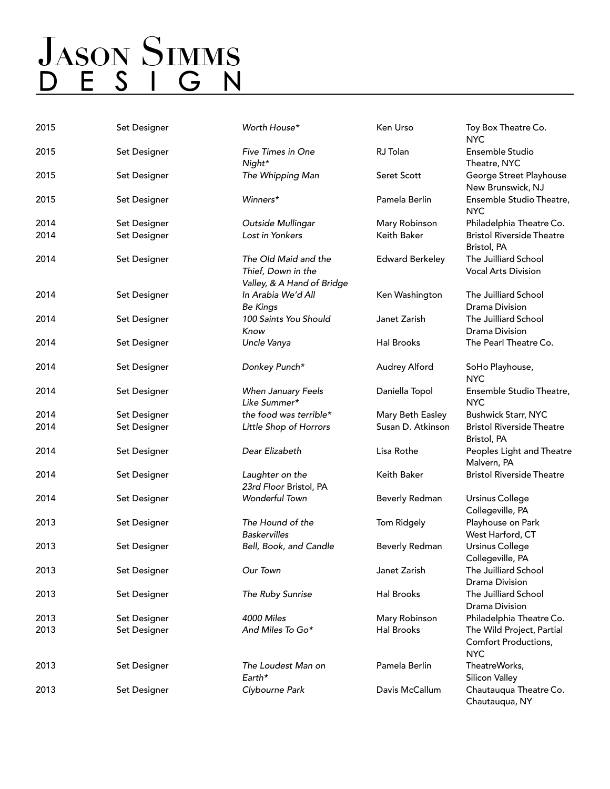| 2015 | Set Designer | Worth House*                                                             | Ken Urso               | Toy Box Theatre Co.<br><b>NYC</b>                               |
|------|--------------|--------------------------------------------------------------------------|------------------------|-----------------------------------------------------------------|
| 2015 | Set Designer | Five Times in One<br>Night*                                              | RJ Tolan               | Ensemble Studio<br>Theatre, NYC                                 |
| 2015 | Set Designer | The Whipping Man                                                         | Seret Scott            | George Street Playhouse<br>New Brunswick, NJ                    |
| 2015 | Set Designer | Winners*                                                                 | Pamela Berlin          | Ensemble Studio Theatre,<br><b>NYC</b>                          |
| 2014 | Set Designer | Outside Mullingar                                                        | Mary Robinson          | Philadelphia Theatre Co.                                        |
| 2014 | Set Designer | Lost in Yonkers                                                          | Keith Baker            | <b>Bristol Riverside Theatre</b><br>Bristol, PA                 |
| 2014 | Set Designer | The Old Maid and the<br>Thief, Down in the<br>Valley, & A Hand of Bridge | <b>Edward Berkeley</b> | The Juilliard School<br><b>Vocal Arts Division</b>              |
| 2014 | Set Designer | In Arabia We'd All<br><b>Be Kings</b>                                    | Ken Washington         | The Juilliard School<br><b>Drama Division</b>                   |
| 2014 | Set Designer | 100 Saints You Should<br>Know                                            | Janet Zarish           | The Juilliard School<br><b>Drama Division</b>                   |
| 2014 | Set Designer | Uncle Vanya                                                              | <b>Hal Brooks</b>      | The Pearl Theatre Co.                                           |
| 2014 | Set Designer | Donkey Punch*                                                            | Audrey Alford          | SoHo Playhouse,<br><b>NYC</b>                                   |
| 2014 | Set Designer | When January Feels<br>Like Summer*                                       | Daniella Topol         | Ensemble Studio Theatre,<br><b>NYC</b>                          |
| 2014 | Set Designer | the food was terrible*                                                   | Mary Beth Easley       | <b>Bushwick Starr, NYC</b>                                      |
| 2014 | Set Designer | Little Shop of Horrors                                                   | Susan D. Atkinson      | <b>Bristol Riverside Theatre</b><br>Bristol, PA                 |
| 2014 | Set Designer | Dear Elizabeth                                                           | Lisa Rothe             | Peoples Light and Theatre<br>Malvern, PA                        |
| 2014 | Set Designer | Laughter on the<br>23rd Floor Bristol, PA                                | Keith Baker            | <b>Bristol Riverside Theatre</b>                                |
| 2014 | Set Designer | Wonderful Town                                                           | <b>Beverly Redman</b>  | <b>Ursinus College</b><br>Collegeville, PA                      |
| 2013 | Set Designer | The Hound of the<br><b>Baskervilles</b>                                  | Tom Ridgely            | Playhouse on Park<br>West Harford, CT                           |
| 2013 | Set Designer | Bell, Book, and Candle                                                   | <b>Beverly Redman</b>  | <b>Ursinus College</b><br>Collegeville, PA                      |
| 2013 | Set Designer | Our Town                                                                 | Janet Zarish           | The Juilliard School<br><b>Drama Division</b>                   |
| 2013 | Set Designer | The Ruby Sunrise                                                         | <b>Hal Brooks</b>      | The Juilliard School<br><b>Drama Division</b>                   |
| 2013 | Set Designer | 4000 Miles                                                               | Mary Robinson          | Philadelphia Theatre Co.                                        |
| 2013 | Set Designer | And Miles To Go*                                                         | <b>Hal Brooks</b>      | The Wild Project, Partial<br>Comfort Productions,<br><b>NYC</b> |
| 2013 | Set Designer | The Loudest Man on<br>Earth*                                             | Pamela Berlin          | TheatreWorks,<br>Silicon Valley                                 |
| 2013 | Set Designer | Clybourne Park                                                           | Davis McCallum         | Chautauqua Theatre Co.<br>Chautauqua, NY                        |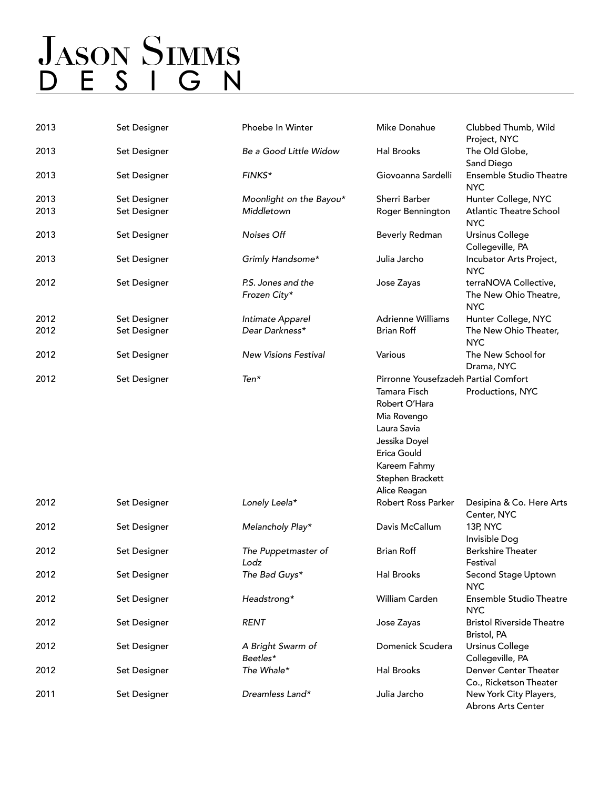# **JASON SIMMS** D E S I G N

| 2013 | Set Designer | Phoebe In Winter              | Mike Donahue                         | Clubbed Thumb, Wild<br>Project, NYC             |
|------|--------------|-------------------------------|--------------------------------------|-------------------------------------------------|
| 2013 | Set Designer | Be a Good Little Widow        | Hal Brooks                           | The Old Globe,<br>Sand Diego                    |
| 2013 | Set Designer | FINKS*                        | Giovoanna Sardelli                   | <b>Ensemble Studio Theatre</b><br><b>NYC</b>    |
| 2013 | Set Designer | Moonlight on the Bayou*       | Sherri Barber                        | Hunter College, NYC                             |
| 2013 | Set Designer | Middletown                    | Roger Bennington                     | <b>Atlantic Theatre School</b><br><b>NYC</b>    |
| 2013 | Set Designer | Noises Off                    | Beverly Redman                       | <b>Ursinus College</b><br>Collegeville, PA      |
| 2013 | Set Designer | Grimly Handsome*              | Julia Jarcho                         | Incubator Arts Project,<br><b>NYC</b>           |
| 2012 | Set Designer | P.S. Jones and the            | Jose Zayas                           | terraNOVA Collective,                           |
|      |              | Frozen City*                  |                                      | The New Ohio Theatre,<br><b>NYC</b>             |
| 2012 | Set Designer | Intimate Apparel              | <b>Adrienne Williams</b>             | Hunter College, NYC                             |
| 2012 | Set Designer | Dear Darkness*                | <b>Brian Roff</b>                    | The New Ohio Theater,<br><b>NYC</b>             |
| 2012 | Set Designer | <b>New Visions Festival</b>   | Various                              | The New School for<br>Drama, NYC                |
| 2012 | Set Designer | Ten*                          | Pirronne Yousefzadeh Partial Comfort |                                                 |
|      |              |                               | Tamara Fisch                         | Productions, NYC                                |
|      |              |                               | Robert O'Hara                        |                                                 |
|      |              |                               | Mia Rovengo                          |                                                 |
|      |              |                               | Laura Savia                          |                                                 |
|      |              |                               | Jessika Doyel                        |                                                 |
|      |              |                               | Erica Gould                          |                                                 |
|      |              |                               | Kareem Fahmy                         |                                                 |
|      |              |                               | Stephen Brackett                     |                                                 |
|      |              |                               | Alice Reagan                         |                                                 |
| 2012 | Set Designer | Lonely Leela*                 | Robert Ross Parker                   | Desipina & Co. Here Arts<br>Center, NYC         |
| 2012 | Set Designer | Melancholy Play*              | Davis McCallum                       | 13P, NYC<br>Invisible Dog                       |
| 2012 | Set Designer | The Puppetmaster of<br>Lodz   | <b>Brian Roff</b>                    | <b>Berkshire Theater</b><br>Festival            |
| 2012 | Set Designer | The Bad Guys*                 | <b>Hal Brooks</b>                    | Second Stage Uptown<br><b>NYC</b>               |
| 2012 | Set Designer | Headstrong*                   | William Carden                       | <b>Ensemble Studio Theatre</b><br><b>NYC</b>    |
| 2012 | Set Designer | <b>RENT</b>                   | Jose Zayas                           | <b>Bristol Riverside Theatre</b><br>Bristol, PA |
| 2012 | Set Designer | A Bright Swarm of<br>Beetles* | Domenick Scudera                     | Ursinus College<br>Collegeville, PA             |
| 2012 | Set Designer | The Whale*                    | <b>Hal Brooks</b>                    | Denver Center Theater<br>Co., Ricketson Theater |
| 2011 | Set Designer | Dreamless Land*               | Julia Jarcho                         | New York City Players,<br>Abrons Arts Center    |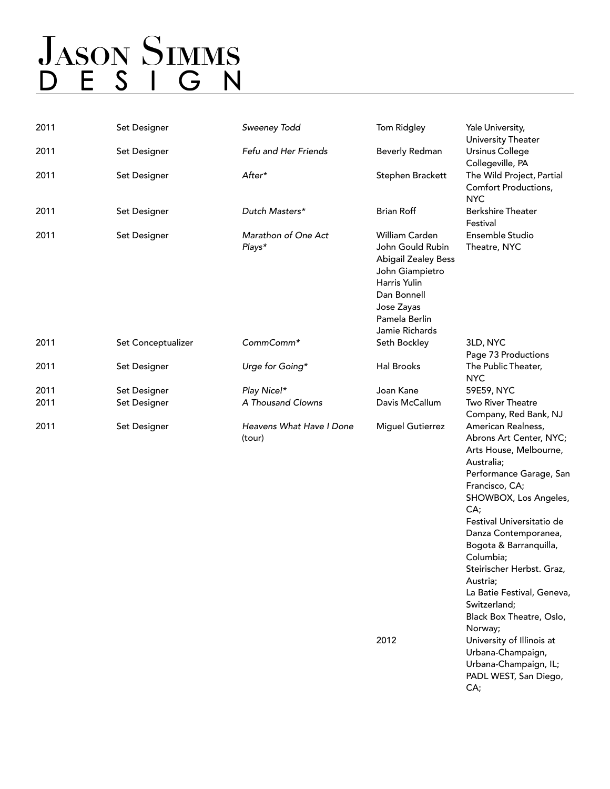### **JASON SIMMS** D E S I G N

| 2011 | Set Designer       | Sweeney Todd                       | Tom Ridgley                                                                                                                                                         | Yale University,<br>University Theater                                                                                                                                                                                                                                                                                                                                            |
|------|--------------------|------------------------------------|---------------------------------------------------------------------------------------------------------------------------------------------------------------------|-----------------------------------------------------------------------------------------------------------------------------------------------------------------------------------------------------------------------------------------------------------------------------------------------------------------------------------------------------------------------------------|
| 2011 | Set Designer       | Fefu and Her Friends               | Beverly Redman                                                                                                                                                      | <b>Ursinus College</b><br>Collegeville, PA                                                                                                                                                                                                                                                                                                                                        |
| 2011 | Set Designer       | After*                             | Stephen Brackett                                                                                                                                                    | The Wild Project, Partial<br>Comfort Productions,<br><b>NYC</b>                                                                                                                                                                                                                                                                                                                   |
| 2011 | Set Designer       | Dutch Masters*                     | <b>Brian Roff</b>                                                                                                                                                   | <b>Berkshire Theater</b><br>Festival                                                                                                                                                                                                                                                                                                                                              |
| 2011 | Set Designer       | Marathon of One Act<br>Plays*      | William Carden<br>John Gould Rubin<br><b>Abigail Zealey Bess</b><br>John Giampietro<br>Harris Yulin<br>Dan Bonnell<br>Jose Zayas<br>Pamela Berlin<br>Jamie Richards | Ensemble Studio<br>Theatre, NYC                                                                                                                                                                                                                                                                                                                                                   |
| 2011 | Set Conceptualizer | CommComm*                          | Seth Bockley                                                                                                                                                        | 3LD, NYC<br>Page 73 Productions                                                                                                                                                                                                                                                                                                                                                   |
| 2011 | Set Designer       | Urge for Going*                    | <b>Hal Brooks</b>                                                                                                                                                   | The Public Theater,<br><b>NYC</b>                                                                                                                                                                                                                                                                                                                                                 |
| 2011 | Set Designer       | Play Nice!*                        | Joan Kane                                                                                                                                                           | 59E59, NYC                                                                                                                                                                                                                                                                                                                                                                        |
| 2011 | Set Designer       | A Thousand Clowns                  | Davis McCallum                                                                                                                                                      | <b>Two River Theatre</b><br>Company, Red Bank, NJ                                                                                                                                                                                                                                                                                                                                 |
| 2011 | Set Designer       | Heavens What Have I Done<br>(tour) | <b>Miguel Gutierrez</b>                                                                                                                                             | American Realness,<br>Abrons Art Center, NYC;<br>Arts House, Melbourne,<br>Australia;<br>Performance Garage, San<br>Francisco, CA;<br>SHOWBOX, Los Angeles,<br>CA;<br>Festival Universitatio de<br>Danza Contemporanea,<br>Bogota & Barranquilla,<br>Columbia;<br>Steirischer Herbst. Graz,<br>Austria;<br>La Batie Festival, Geneva,<br>Switzerland;<br>Black Box Theatre, Oslo, |

Norway;

CA;

Urbana-Champaign, Urbana-Champaign, IL; PADL WEST, San Diego,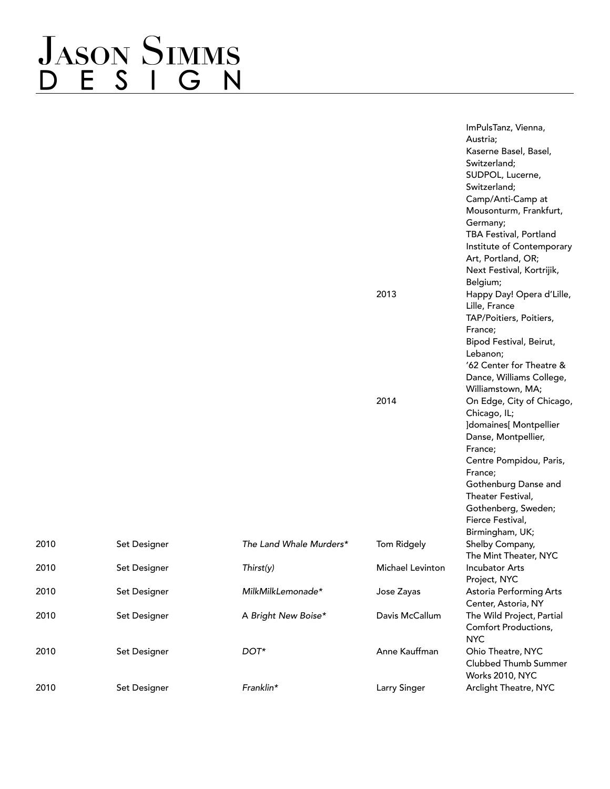### **JASON SIMMS** ESIGN  $\overline{D}$

ImPulsTanz, Vienna, Austria; Kaserne Basel, Basel, Switzerland; SUDPOL, Lucerne, Switzerland; Camp/Anti-Camp at Mousonturm, Frankfurt, Germany; TBA Festival, Portland Institute of Contemporary Art, Portland, OR; Next Festival, Kortrijik, Belgium; 2013 Happy Day! Opera d'Lille, Lille, France TAP/Poitiers, Poitiers, France; Bipod Festival, Beirut, Lebanon; '62 Center for Theatre & Dance, Williams College, Williamstown, MA; 2014 On Edge, City of Chicago, Chicago, IL; ]domaines[ Montpellier Danse, Montpellier, France; Centre Pompidou, Paris, France; Gothenburg Danse and Theater Festival, Gothenberg, Sweden; Fierce Festival, Birmingham, UK; The Mint Theater, NYC Project, NYC Center, Astoria, NY Comfort Productions, NYC Clubbed Thumb Summer Works 2010, NYC

|      |              |                         |                  | Fielde Festival,          |
|------|--------------|-------------------------|------------------|---------------------------|
|      |              |                         |                  | Birmingham, UK;           |
| 2010 | Set Designer | The Land Whale Murders* | Tom Ridgely      | Shelby Company,           |
|      |              |                         |                  | The Mint Theater, NYC     |
| 2010 | Set Designer | Thirst(y)               | Michael Levinton | Incubator Arts            |
|      |              |                         |                  | Project, NYC              |
| 2010 | Set Designer | MilkMilkLemonade*       | Jose Zayas       | Astoria Performing Arts   |
|      |              |                         |                  | Center, Astoria, NY       |
| 2010 | Set Designer | A Bright New Boise*     | Davis McCallum   | The Wild Project, Partial |
|      |              |                         |                  | Comfort Productions,      |
|      |              |                         |                  | <b>NYC</b>                |
| 2010 | Set Designer | DOT*                    | Anne Kauffman    | Ohio Theatre, NYC         |
|      |              |                         |                  | Clubbed Thumb Summer      |
|      |              |                         |                  | <b>Works 2010, NYC</b>    |
| 2010 | Set Designer | Franklin*               | Larry Singer     | Arclight Theatre, NYC     |
|      |              |                         |                  |                           |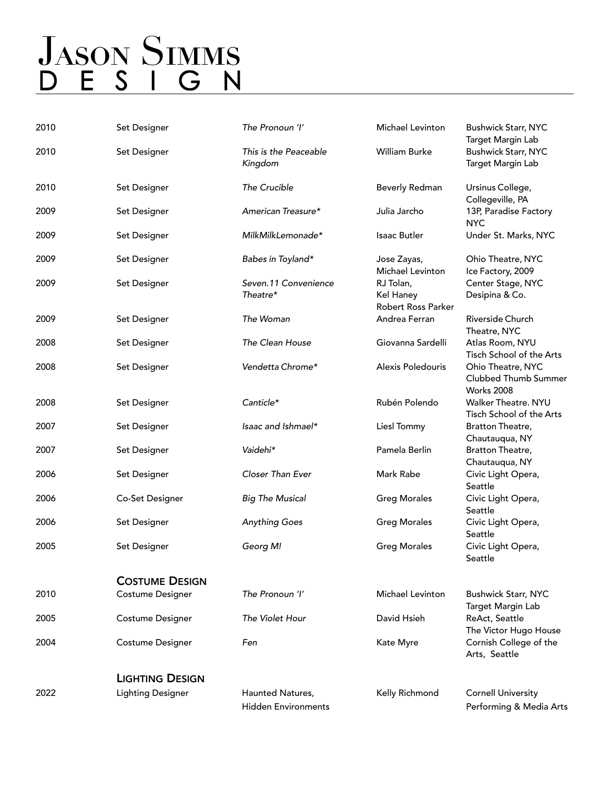# **JASON SIMMS** D E S I G N

| 2010 | Set Designer             | The Pronoun 'I'                                | Michael Levinton                             | <b>Bushwick Starr, NYC</b><br>Target Margin Lab                |
|------|--------------------------|------------------------------------------------|----------------------------------------------|----------------------------------------------------------------|
| 2010 | Set Designer             | This is the Peaceable<br>Kingdom               | William Burke                                | <b>Bushwick Starr, NYC</b><br>Target Margin Lab                |
| 2010 | Set Designer             | The Crucible                                   | Beverly Redman                               | Ursinus College,<br>Collegeville, PA                           |
| 2009 | Set Designer             | American Treasure*                             | Julia Jarcho                                 | 13P, Paradise Factory<br><b>NYC</b>                            |
| 2009 | Set Designer             | MilkMilkLemonade*                              | <b>Isaac Butler</b>                          | Under St. Marks, NYC                                           |
| 2009 | Set Designer             | Babes in Toyland*                              | Jose Zayas,<br><b>Michael Levinton</b>       | Ohio Theatre, NYC<br>Ice Factory, 2009                         |
| 2009 | Set Designer             | Seven.11 Convenience<br>Theatre*               | RJ Tolan,<br>Kel Haney<br>Robert Ross Parker | Center Stage, NYC<br>Desipina & Co.                            |
| 2009 | Set Designer             | The Woman                                      | Andrea Ferran                                | Riverside Church<br>Theatre, NYC                               |
| 2008 | Set Designer             | The Clean House                                | Giovanna Sardelli                            | Atlas Room, NYU<br>Tisch School of the Arts                    |
| 2008 | Set Designer             | Vendetta Chrome*                               | Alexis Poledouris                            | Ohio Theatre, NYC<br>Clubbed Thumb Summer<br><b>Works 2008</b> |
| 2008 | Set Designer             | Canticle*                                      | Rubén Polendo                                | <b>Walker Theatre, NYU</b><br>Tisch School of the Arts         |
| 2007 | Set Designer             | Isaac and Ishmael*                             | Liesl Tommy                                  | Bratton Theatre,<br>Chautauqua, NY                             |
| 2007 | Set Designer             | Vaidehi*                                       | Pamela Berlin                                | Bratton Theatre,<br>Chautauqua, NY                             |
| 2006 | Set Designer             | Closer Than Ever                               | Mark Rabe                                    | Civic Light Opera,<br>Seattle                                  |
| 2006 | Co-Set Designer          | <b>Big The Musical</b>                         | <b>Greg Morales</b>                          | Civic Light Opera,<br>Seattle                                  |
| 2006 | Set Designer             | <b>Anything Goes</b>                           | <b>Greg Morales</b>                          | Civic Light Opera,<br>Seattle                                  |
| 2005 | Set Designer             | Georg M!                                       | <b>Greg Morales</b>                          | Civic Light Opera,<br>Seattle                                  |
|      | <b>COSTUME DESIGN</b>    |                                                |                                              |                                                                |
| 2010 | Costume Designer         | The Pronoun 'I'                                | Michael Levinton                             | <b>Bushwick Starr, NYC</b><br>Target Margin Lab                |
| 2005 | Costume Designer         | The Violet Hour                                | David Hsieh                                  | ReAct, Seattle<br>The Victor Hugo House                        |
| 2004 | Costume Designer         | Fen                                            | Kate Myre                                    | Cornish College of the<br>Arts, Seattle                        |
|      | <b>LIGHTING DESIGN</b>   |                                                |                                              |                                                                |
| 2022 | <b>Lighting Designer</b> | Haunted Natures,<br><b>Hidden Environments</b> | Kelly Richmond                               | <b>Cornell University</b><br>Performing & Media Arts           |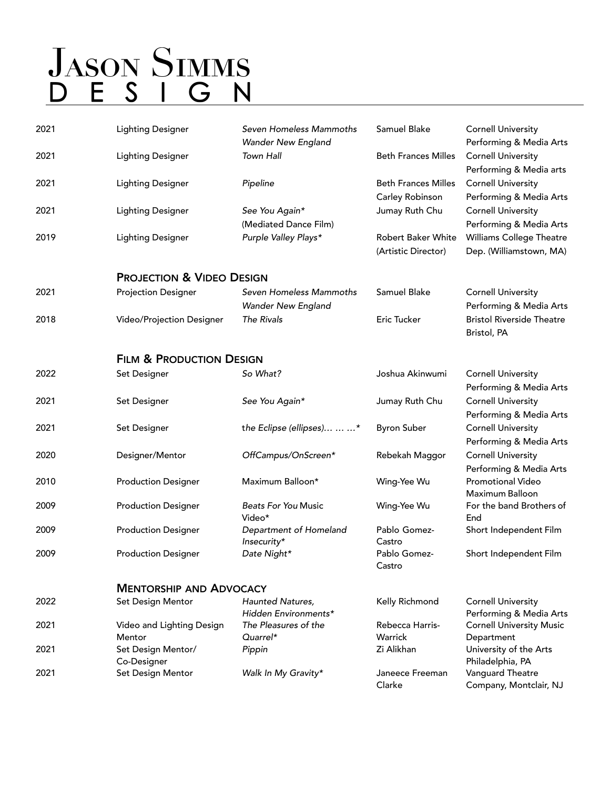| 2021 | <b>Lighting Designer</b>             | Seven Homeless Mammoths<br>Wander New England        | Samuel Blake                                     | <b>Cornell University</b><br>Performing & Media Arts |
|------|--------------------------------------|------------------------------------------------------|--------------------------------------------------|------------------------------------------------------|
| 2021 | <b>Lighting Designer</b>             | Town Hall                                            | <b>Beth Frances Milles</b>                       | <b>Cornell University</b><br>Performing & Media arts |
| 2021 | <b>Lighting Designer</b>             | Pipeline                                             | <b>Beth Frances Milles</b><br>Carley Robinson    | <b>Cornell University</b><br>Performing & Media Arts |
| 2021 | <b>Lighting Designer</b>             | See You Again*<br>(Mediated Dance Film)              | Jumay Ruth Chu                                   | <b>Cornell University</b><br>Performing & Media Arts |
| 2019 | <b>Lighting Designer</b>             | Purple Valley Plays*                                 | <b>Robert Baker White</b><br>(Artistic Director) | Williams College Theatre<br>Dep. (Williamstown, MA)  |
|      | <b>PROJECTION &amp; VIDEO DESIGN</b> |                                                      |                                                  |                                                      |
| 2021 | <b>Projection Designer</b>           | Seven Homeless Mammoths<br><b>Wander New England</b> | Samuel Blake                                     | <b>Cornell University</b><br>Performing & Media Arts |
| 2018 | Video/Projection Designer            | The Rivals                                           | Eric Tucker                                      | <b>Bristol Riverside Theatre</b><br>Bristol, PA      |
|      | <b>FILM &amp; PRODUCTION DESIGN</b>  |                                                      |                                                  |                                                      |
| 2022 | Set Designer                         | So What?                                             | Joshua Akinwumi                                  | <b>Cornell University</b><br>Performing & Media Arts |
| 2021 | Set Designer                         | See You Again*                                       | Jumay Ruth Chu                                   | <b>Cornell University</b><br>Performing & Media Arts |
| 2021 | Set Designer                         | the Eclipse (ellipses)  *                            | <b>Byron Suber</b>                               | <b>Cornell University</b><br>Performing & Media Arts |
| 2020 | Designer/Mentor                      | OffCampus/OnScreen*                                  | Rebekah Maggor                                   | <b>Cornell University</b><br>Performing & Media Arts |
| 2010 | <b>Production Designer</b>           | Maximum Balloon*                                     | Wing-Yee Wu                                      | <b>Promotional Video</b><br><b>Maximum Balloon</b>   |
| 2009 | <b>Production Designer</b>           | <b>Beats For You Music</b><br>Video*                 | Wing-Yee Wu                                      | For the band Brothers of<br>End                      |
| 2009 | <b>Production Designer</b>           | Department of Homeland<br>Insecurity*                | Pablo Gomez-<br>Castro                           | Short Independent Film                               |
| 2009 | <b>Production Designer</b>           | Date Night*                                          | Pablo Gomez-<br>Castro                           | Short Independent Film                               |
|      | <b>MENTORSHIP AND ADVOCACY</b>       |                                                      |                                                  |                                                      |
| 2022 | Set Design Mentor                    | Haunted Natures,<br>Hidden Environments*             | Kelly Richmond                                   | <b>Cornell University</b><br>Performing & Media Arts |
| 2021 | Video and Lighting Design<br>Mentor  | The Pleasures of the<br>Quarrel*                     | Rebecca Harris-<br>Warrick                       | <b>Cornell University Music</b><br>Department        |
| 2021 | Set Design Mentor/<br>Co-Designer    | Pippin                                               | Zi Alikhan                                       | University of the Arts<br>Philadelphia, PA           |
| 2021 | Set Design Mentor                    | Walk In My Gravity*                                  | Janeece Freeman<br>Clarke                        | Vanguard Theatre<br>Company, Montclair, NJ           |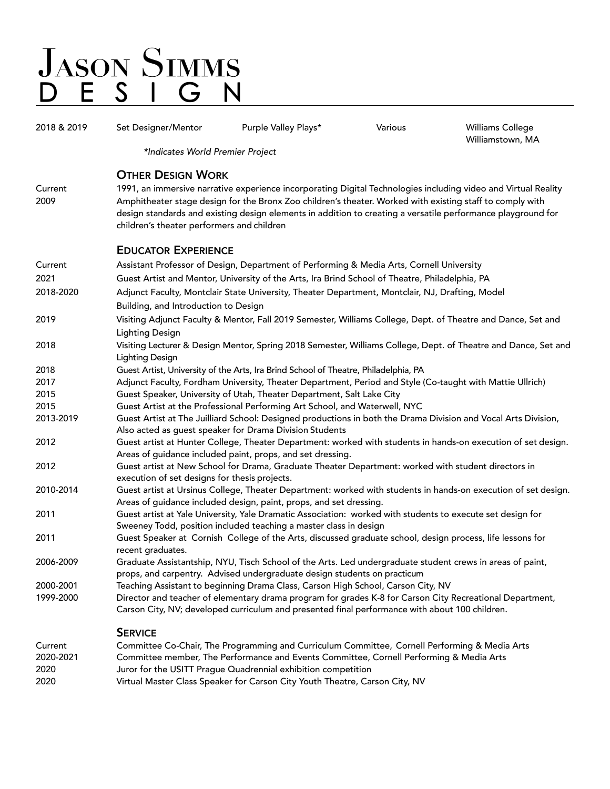| 2018 & 2019     | Set Designer/Mentor                                                                                                                                                                          | Purple Valley Plays*                                                                                                                                                                                                      | Various | <b>Williams College</b><br>Williamstown, MA                                                                    |  |
|-----------------|----------------------------------------------------------------------------------------------------------------------------------------------------------------------------------------------|---------------------------------------------------------------------------------------------------------------------------------------------------------------------------------------------------------------------------|---------|----------------------------------------------------------------------------------------------------------------|--|
|                 | *Indicates World Premier Project                                                                                                                                                             |                                                                                                                                                                                                                           |         |                                                                                                                |  |
|                 | <b>OTHER DESIGN WORK</b>                                                                                                                                                                     |                                                                                                                                                                                                                           |         |                                                                                                                |  |
| Current<br>2009 | children's theater performers and children                                                                                                                                                   | Amphitheater stage design for the Bronx Zoo children's theater. Worked with existing staff to comply with<br>design standards and existing design elements in addition to creating a versatile performance playground for |         | 1991, an immersive narrative experience incorporating Digital Technologies including video and Virtual Reality |  |
|                 | <b>EDUCATOR EXPERIENCE</b>                                                                                                                                                                   |                                                                                                                                                                                                                           |         |                                                                                                                |  |
| Current         |                                                                                                                                                                                              | Assistant Professor of Design, Department of Performing & Media Arts, Cornell University                                                                                                                                  |         |                                                                                                                |  |
| 2021            |                                                                                                                                                                                              | Guest Artist and Mentor, University of the Arts, Ira Brind School of Theatre, Philadelphia, PA                                                                                                                            |         |                                                                                                                |  |
| 2018-2020       |                                                                                                                                                                                              | Adjunct Faculty, Montclair State University, Theater Department, Montclair, NJ, Drafting, Model                                                                                                                           |         |                                                                                                                |  |
|                 | Building, and Introduction to Design                                                                                                                                                         |                                                                                                                                                                                                                           |         |                                                                                                                |  |
| 2019            | <b>Lighting Design</b>                                                                                                                                                                       | Visiting Adjunct Faculty & Mentor, Fall 2019 Semester, Williams College, Dept. of Theatre and Dance, Set and                                                                                                              |         |                                                                                                                |  |
| 2018            | <b>Lighting Design</b>                                                                                                                                                                       |                                                                                                                                                                                                                           |         | Visiting Lecturer & Design Mentor, Spring 2018 Semester, Williams College, Dept. of Theatre and Dance, Set and |  |
| 2018            |                                                                                                                                                                                              | Guest Artist, University of the Arts, Ira Brind School of Theatre, Philadelphia, PA                                                                                                                                       |         |                                                                                                                |  |
| 2017            |                                                                                                                                                                                              | Adjunct Faculty, Fordham University, Theater Department, Period and Style (Co-taught with Mattie Ullrich)                                                                                                                 |         |                                                                                                                |  |
| 2015            |                                                                                                                                                                                              | Guest Speaker, University of Utah, Theater Department, Salt Lake City                                                                                                                                                     |         |                                                                                                                |  |
| 2015            | Guest Artist at the Professional Performing Art School, and Waterwell, NYC<br>Guest Artist at The Juilliard School: Designed productions in both the Drama Division and Vocal Arts Division, |                                                                                                                                                                                                                           |         |                                                                                                                |  |
| 2013-2019       |                                                                                                                                                                                              | Also acted as guest speaker for Drama Division Students                                                                                                                                                                   |         |                                                                                                                |  |
| 2012            |                                                                                                                                                                                              | Areas of guidance included paint, props, and set dressing.                                                                                                                                                                |         | Guest artist at Hunter College, Theater Department: worked with students in hands-on execution of set design.  |  |
| 2012            | execution of set designs for thesis projects.                                                                                                                                                | Guest artist at New School for Drama, Graduate Theater Department: worked with student directors in                                                                                                                       |         |                                                                                                                |  |
| 2010-2014       |                                                                                                                                                                                              | Areas of guidance included design, paint, props, and set dressing.                                                                                                                                                        |         | Guest artist at Ursinus College, Theater Department: worked with students in hands-on execution of set design. |  |
| 2011            |                                                                                                                                                                                              | Guest artist at Yale University, Yale Dramatic Association: worked with students to execute set design for<br>Sweeney Todd, position included teaching a master class in design                                           |         |                                                                                                                |  |
| 2011            | recent graduates.                                                                                                                                                                            | Guest Speaker at Cornish College of the Arts, discussed graduate school, design process, life lessons for                                                                                                                 |         |                                                                                                                |  |
| 2006-2009       |                                                                                                                                                                                              | Graduate Assistantship, NYU, Tisch School of the Arts. Led undergraduate student crews in areas of paint,<br>props, and carpentry. Advised undergraduate design students on practicum                                     |         |                                                                                                                |  |
| 2000-2001       |                                                                                                                                                                                              | Teaching Assistant to beginning Drama Class, Carson High School, Carson City, NV                                                                                                                                          |         |                                                                                                                |  |
| 1999-2000       |                                                                                                                                                                                              | Director and teacher of elementary drama program for grades K-8 for Carson City Recreational Department,<br>Carson City, NV; developed curriculum and presented final performance with about 100 children.                |         |                                                                                                                |  |
|                 | <b>SERVICE</b>                                                                                                                                                                               |                                                                                                                                                                                                                           |         |                                                                                                                |  |
| Current         |                                                                                                                                                                                              | Committee Co-Chair, The Programming and Curriculum Committee, Cornell Performing & Media Arts                                                                                                                             |         |                                                                                                                |  |
| 2020-2021       |                                                                                                                                                                                              | Committee member, The Performance and Events Committee, Cornell Performing & Media Arts                                                                                                                                   |         |                                                                                                                |  |
| 2020            |                                                                                                                                                                                              | Juror for the USITT Prague Quadrennial exhibition competition                                                                                                                                                             |         |                                                                                                                |  |
| 2020            |                                                                                                                                                                                              | Virtual Master Class Speaker for Carson City Youth Theatre, Carson City, NV                                                                                                                                               |         |                                                                                                                |  |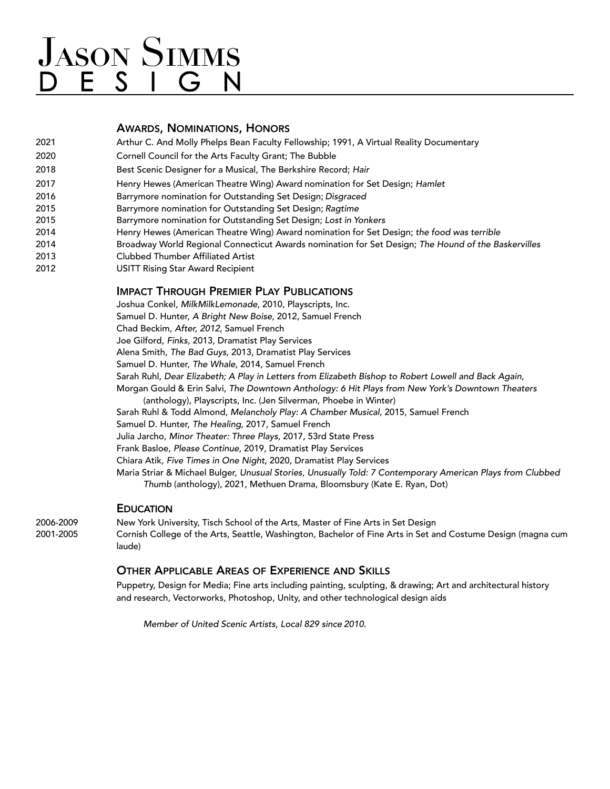#### AWARDS, NOMINATIONS, HONORS

| 2021 | Arthur C. And Molly Phelps Bean Faculty Fellowship; 1991, A Virtual Reality Documentary             |
|------|-----------------------------------------------------------------------------------------------------|
| 2020 | Cornell Council for the Arts Faculty Grant; The Bubble                                              |
| 2018 | Best Scenic Designer for a Musical, The Berkshire Record; Hair                                      |
| 2017 | Henry Hewes (American Theatre Wing) Award nomination for Set Design; Hamlet                         |
| 2016 | Barrymore nomination for Outstanding Set Design; Disgraced                                          |
| 2015 | Barrymore nomination for Outstanding Set Design; Ragtime                                            |
| 2015 | Barrymore nomination for Outstanding Set Design; Lost in Yonkers                                    |
| 2014 | Henry Hewes (American Theatre Wing) Award nomination for Set Design; the food was terrible          |
| 2014 | Broadway World Regional Connecticut Awards nomination for Set Design; The Hound of the Baskervilles |
| 2013 | <b>Clubbed Thumber Affiliated Artist</b>                                                            |
| 2012 | USITT Rising Star Award Recipient                                                                   |
|      |                                                                                                     |

#### IMPACT THROUGH PREMIER PLAY PUBLICATIONS

Joshua Conkel, *MilkMilkLemonade*, 2010, Playscripts, Inc. Samuel D. Hunter, *A Bright New Boise*, 2012, Samuel French Chad Beckim, *After, 2012*, Samuel French Joe Gilford, *Finks*, 2013, Dramatist Play Services Alena Smith, *The Bad Guys*, 2013, Dramatist Play Services Samuel D. Hunter, *The Whale*, 2014, Samuel French Sarah Ruhl, *Dear Elizabeth; A Play in Letters from Elizabeth Bishop to Robert Lowell and Back Again*, Morgan Gould & Erin Salvi, *The Downtown Anthology: 6 Hit Plays from New York's Downtown Theaters* (anthology), Playscripts, Inc. (Jen Silverman, Phoebe in Winter) Sarah Ruhl & Todd Almond, *Melancholy Play: A Chamber Musical*, 2015, Samuel French Samuel D. Hunter, *The Healing*, 2017, Samuel French Julia Jarcho, *Minor Theater: Three Plays*, 2017, 53rd State Press Frank Basloe, *Please Continue*, 2019, Dramatist Play Services Chiara Atik, *Five Times in One Night*, 2020, Dramatist Play Services Maria Striar & Michael Bulger, *Unusual Stories, Unusually Told: 7 Contemporary American Plays from Clubbed Thumb* (anthology), 2021, Methuen Drama, Bloomsbury (Kate E. Ryan, Dot)

#### **EDUCATION**

2006-2009 New York University, Tisch School of the Arts, Master of Fine Arts in Set Design 2001-2005 Cornish College of the Arts, Seattle, Washington, Bachelor of Fine Arts in Set and Costume Design (magna cum laude)

#### OTHER APPLICABLE AREAS OF EXPERIENCE AND SKILLS

Puppetry, Design for Media; Fine arts including painting, sculpting, & drawing; Art and architectural history and research, Vectorworks, Photoshop, Unity, and other technological design aids

*Member of United Scenic Artists, Local 829 since 2010.*